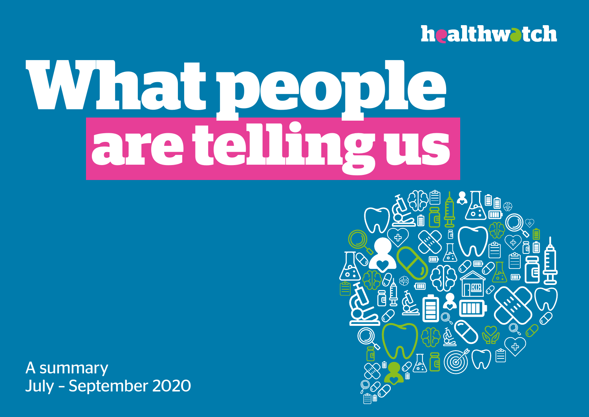## **healthwatch**

# **What people are telling us**

A summary July – September 2020

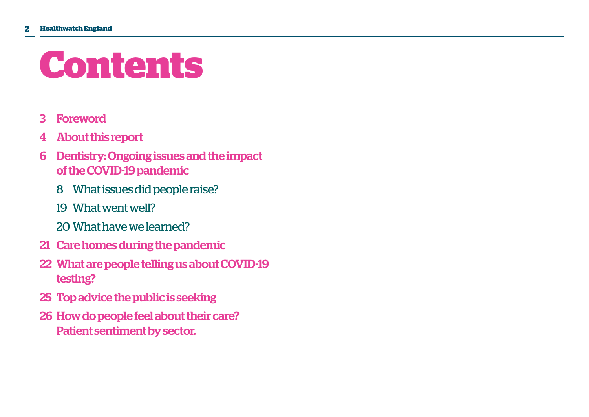## **Contents**

- 3 Foreword
- 4 About this report
- 6 Dentistry: Ongoing issues and the impact of the COVID-19 pandemic
	- 8 What issues did people raise?
	- 19 What went well?
	- 20 What have we learned?
- 21 Care homes during the pandemic
- 22 What are people telling us about COVID-19 testing?
- 25 Top advice the public is seeking
- 26 How do people feel about their care? Patient sentiment by sector.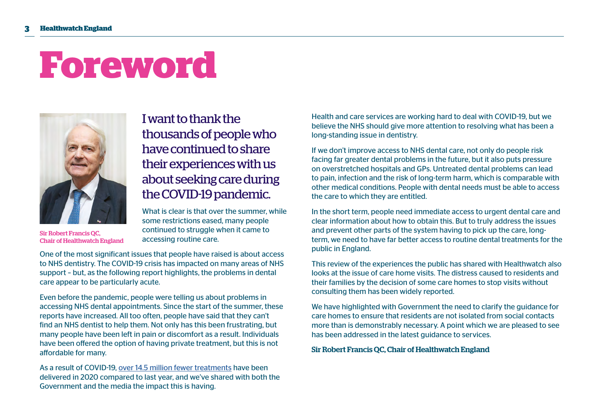## **Foreword**



Sir Robert Francis QC, Chair of Healthwatch England

I want to thank the thousands of people who have continued to share their experiences with us about seeking care during the COVID-19 pandemic.

What is clear is that over the summer, while some restrictions eased, many people continued to struggle when it came to accessing routine care.

One of the most significant issues that people have raised is about access to NHS dentistry. The COVID-19 crisis has impacted on many areas of NHS support – but, as the following report highlights, the problems in dental care appear to be particularly acute.

Even before the pandemic, people were telling us about problems in accessing NHS dental appointments. Since the start of the summer, these reports have increased. All too often, people have said that they can't find an NHS dentist to help them. Not only has this been frustrating, but many people have been left in pain or discomfort as a result. Individuals have been offered the option of having private treatment, but this is not affordable for many.

As a result of COVID-19, [over 14.5 million fewer treatments](https://www.bda.org/news-centre/press-releases/Pages/Dentists-Government-holds-the-key-to-restore-services-to-millions.aspx) have been delivered in 2020 compared to last year, and we've shared with both the Government and the media the impact this is having.

Health and care services are working hard to deal with COVID-19, but we believe the NHS should give more attention to resolving what has been a long-standing issue in dentistry.

If we don't improve access to NHS dental care, not only do people risk facing far greater dental problems in the future, but it also puts pressure on overstretched hospitals and GPs. Untreated dental problems can lead to pain, infection and the risk of long-term harm, which is comparable with other medical conditions. People with dental needs must be able to access the care to which they are entitled.

In the short term, people need immediate access to urgent dental care and clear information about how to obtain this. But to truly address the issues and prevent other parts of the system having to pick up the care, longterm, we need to have far better access to routine dental treatments for the public in England.

This review of the experiences the public has shared with Healthwatch also looks at the issue of care home visits. The distress caused to residents and their families by the decision of some care homes to stop visits without consulting them has been widely reported.

We have highlighted with Government the need to clarify the guidance for care homes to ensure that residents are not isolated from social contacts more than is demonstrably necessary. A point which we are pleased to see has been addressed in the latest guidance to services.

Sir Robert Francis QC, Chair of Healthwatch England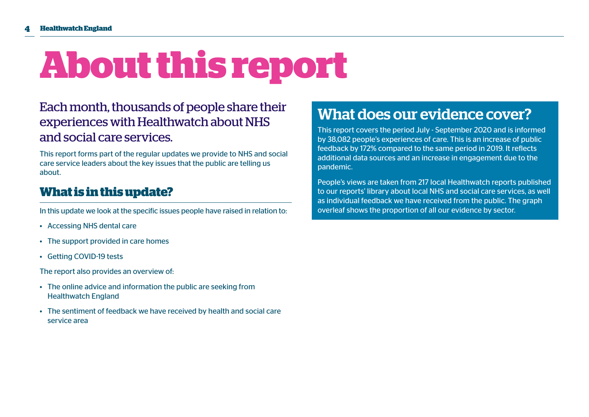## **About this report**

## Each month, thousands of people share their experiences with Healthwatch about NHS and social care services.

This report forms part of the regular updates we provide to NHS and social care service leaders about the key issues that the public are telling us about.

## **What is in this update?**

In this update we look at the specific issues people have raised in relation to:

- Accessing NHS dental care
- The support provided in care homes
- Getting COVID-19 tests

The report also provides an overview of:

- The online advice and information the public are seeking from Healthwatch England
- The sentiment of feedback we have received by health and social care service area

## What does our evidence cover?

This report covers the period July - September 2020 and is informed by 38,082 people's experiences of care. This is an increase of public feedback by 172% compared to the same period in 2019. It reflects additional data sources and an increase in engagement due to the pandemic.

People's views are taken from 217 local Healthwatch reports published to our reports' library about local NHS and social care services, as well as individual feedback we have received from the public. The graph overleaf shows the proportion of all our evidence by sector.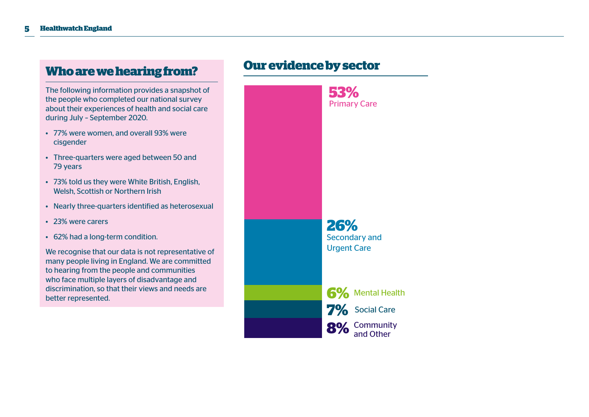## **Who are we hearing from?**

The following information provides a snapshot of the people who completed our national survey about their experiences of health and social care during July – September 2020.

- 77% were women, and overall 93% were cisgender
- Three-quarters were aged between 50 and 79 years
- 73% told us they were White British, English, Welsh, Scottish or Northern Irish
- Nearly three-quarters identified as heterosexual
- 23% were carers
- 62% had a long-term condition.

We recognise that our data is not representative of many people living in England. We are committed to hearing from the people and communities who face multiple layers of disadvantage and discrimination, so that their views and needs are better represented.

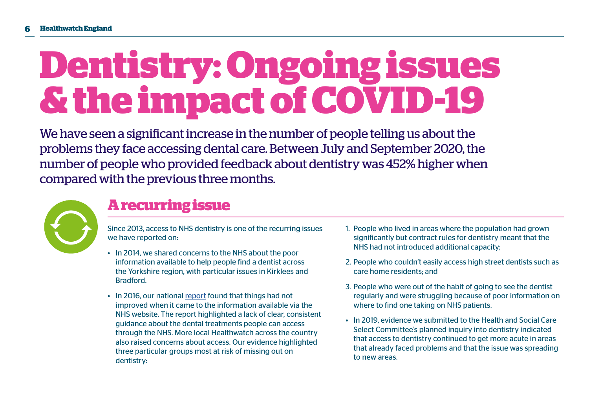## **Dentistry: Ongoing issues & the impact of COVID-19**

We have seen a significant increase in the number of people telling us about the problems they face accessing dental care. Between July and September 2020, the number of people who provided feedback about dentistry was 452% higher when compared with the previous three months.



## **A recurring issue**

Since 2013, access to NHS dentistry is one of the recurring issues we have reported on:

- In 2014, we shared concerns to the NHS about the poor information available to help people find a dentist across the Yorkshire region, with particular issues in Kirklees and Bradford.
- In 2016, our national [report](https://www.healthwatch.co.uk/report/2016-11-23/access-nhs-dental-services-what-people-told-local-healthwatch) found that things had not improved when it came to the information available via the NHS website. The report highlighted a lack of clear, consistent guidance about the dental treatments people can access through the NHS. More local Healthwatch across the country also raised concerns about access. Our evidence highlighted three particular groups most at risk of missing out on dentistry:
- 1. People who lived in areas where the population had grown significantly but contract rules for dentistry meant that the NHS had not introduced additional capacity;
- 2. People who couldn't easily access high street dentists such as care home residents; and
- 3. People who were out of the habit of going to see the dentist regularly and were struggling because of poor information on where to find one taking on NHS patients.
- In 2019, evidence we submitted to the Health and Social Care Select Committee's planned inquiry into dentistry indicated that access to dentistry continued to get more acute in areas that already faced problems and that the issue was spreading to new areas.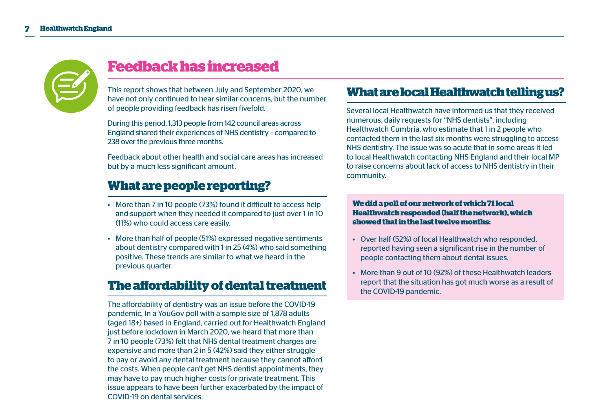

## **Feedback has increased**

This report shows that between July and September 2020, we have not only continued to hear similar concerns, but the number of people providing feedback has risen fivefold.

During this period, 1,313 people from 142 council areas across England shared their experiences of NHS dentistry – compared to 238 over the previous three months.

Feedback about other health and social care areas has increased but by a much less significant amount.

## **What are people reporting?**

- More than 7 in 10 people (73%) found it difficult to access help and support when they needed it compared to just over 1 in 10 (11%) who could access care easily.
- More than half of people (51%) expressed negative sentiments about dentistry compared with 1 in 25 (4%) who said something positive. These trends are similar to what we heard in the previous quarter.

## **The affordability of dental treatment**

The affordability of dentistry was an issue before the COVID-19 pandemic. In a YouGov poll with a sample size of 1,878 adults (aged 18+) based in England, carried out for Healthwatch England just before lockdown in March 2020, we heard that more than 7 in 10 people (73%) felt that NHS dental treatment charges are expensive and more than 2 in 5 (42%) said they either struggle to pay or avoid any dental treatment because they cannot afford the costs. When people can't get NHS dentist appointments, they may have to pay much higher costs for private treatment. This issue appears to have been further exacerbated by the impact of COVID-19 on dental services.

## **What are local Healthwatch telling us?**

Several local Healthwatch have informed us that they received numerous, daily requests for "NHS dentists", including Healthwatch Cumbria, who estimate that 1 in 2 people who contacted them in the last six months were struggling to access NHS dentistry. The issue was so acute that in some areas it led to local Healthwatch contacting NHS England and their local MP to raise concerns about lack of access to NHS dentistry in their community.

#### **We did a poll of our network of which 71 local Healthwatch responded (half the network), which showed that in the last twelve months:**

- Over half (52%) of local Healthwatch who responded, reported having seen a significant rise in the number of people contacting them about dental issues.
- More than 9 out of 10 (92%) of these Healthwatch leaders report that the situation has got much worse as a result of the COVID-19 pandemic.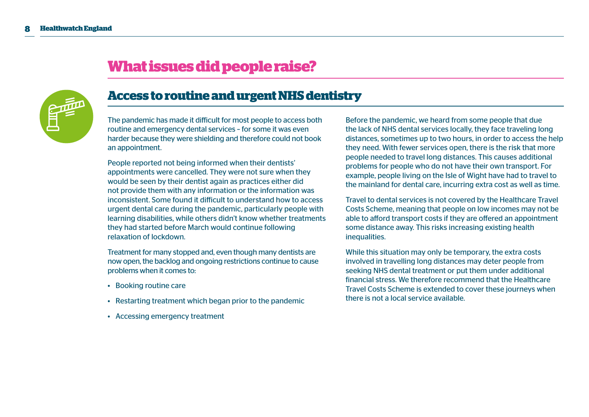

## **What issues did people raise?**

## **Access to routine and urgent NHS dentistry**

The pandemic has made it difficult for most people to access both routine and emergency dental services – for some it was even harder because they were shielding and therefore could not book an appointment.

People reported not being informed when their dentists' appointments were cancelled. They were not sure when they would be seen by their dentist again as practices either did not provide them with any information or the information was inconsistent. Some found it difficult to understand how to access urgent dental care during the pandemic, particularly people with learning disabilities, while others didn't know whether treatments they had started before March would continue following relaxation of lockdown.

Treatment for many stopped and, even though many dentists are now open, the backlog and ongoing restrictions continue to cause problems when it comes to:

- Booking routine care
- Restarting treatment which began prior to the pandemic
- Accessing emergency treatment

Before the pandemic, we heard from some people that due the lack of NHS dental services locally, they face traveling long distances, sometimes up to two hours, in order to access the help they need. With fewer services open, there is the risk that more people needed to travel long distances. This causes additional problems for people who do not have their own transport. For example, people living on the Isle of Wight have had to travel to the mainland for dental care, incurring extra cost as well as time.

Travel to dental services is not covered by the Healthcare Travel Costs Scheme, meaning that people on low incomes may not be able to afford transport costs if they are offered an appointment some distance away. This risks increasing existing health inequalities.

While this situation may only be temporary, the extra costs involved in travelling long distances may deter people from seeking NHS dental treatment or put them under additional financial stress. We therefore recommend that the Healthcare Travel Costs Scheme is extended to cover these journeys when there is not a local service available.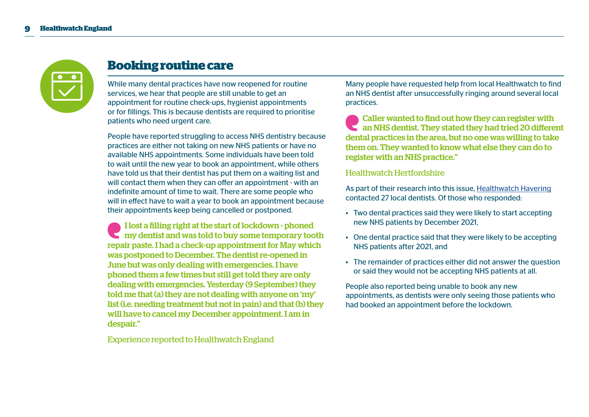

## **Booking routine care**

While many dental practices have now reopened for routine services, we hear that people are still unable to get an appointment for routine check-ups, hygienist appointments or for fillings. This is because dentists are required to prioritise patients who need urgent care.

People have reported struggling to access NHS dentistry because practices are either not taking on new NHS patients or have no available NHS appointments. Some individuals have been told to wait until the new year to book an appointment, while others have told us that their dentist has put them on a waiting list and will contact them when they can offer an appointment - with an indefinite amount of time to wait. There are some people who will in effect have to wait a year to book an appointment because their appointments keep being cancelled or postponed.

I lost a filling right at the start of lockdown - phoned my dentist and was told to buy some temporary tooth repair paste. I had a check-up appointment for May which was postponed to December. The dentist re-opened in June but was only dealing with emergencies. I have phoned them a few times but still get told they are only dealing with emergencies. Yesterday (9 September) they told me that (a) they are not dealing with anyone on 'my' list (i.e. needing treatment but not in pain) and that (b) they will have to cancel my December appointment. I am in despair."

Experience reported to Healthwatch England

Many people have requested help from local Healthwatch to find an NHS dentist after unsuccessfully ringing around several local practices.

Caller wanted to find out how they can register with an NHS dentist. They stated they had tried 20 different dental practices in the area, but no one was willing to take them on. They wanted to know what else they can do to register with an NHS practice."

#### Healthwatch Hertfordshire

As part of their research into this issue, [Healthwatch Havering](https://www.healthwatch.co.uk/reports-library/dental-services-havering) contacted 27 local dentists. Of those who responded:

- Two dental practices said they were likely to start accepting new NHS patients by December 2021,
- One dental practice said that they were likely to be accepting NHS patients after 2021, and
- The remainder of practices either did not answer the question or said they would not be accepting NHS patients at all.

People also reported being unable to book any new appointments, as dentists were only seeing those patients who had booked an appointment before the lockdown.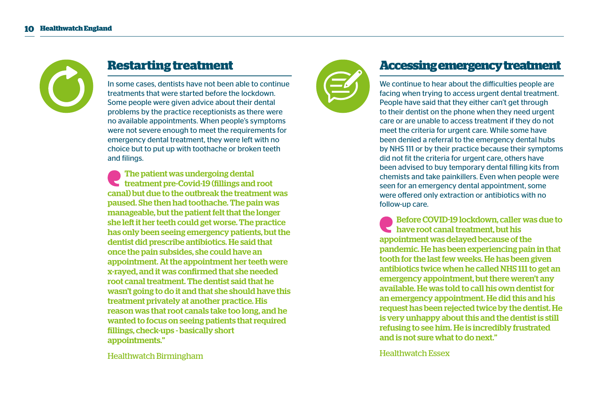

## **Restarting treatment**

In some cases, dentists have not been able to continue treatments that were started before the lockdown. Some people were given advice about their dental problems by the practice receptionists as there were no available appointments. When people's symptoms were not severe enough to meet the requirements for emergency dental treatment, they were left with no choice but to put up with toothache or broken teeth and filings.

The patient was undergoing dental treatment pre-Covid-19 (fillings and root canal) but due to the outbreak the treatment was paused. She then had toothache. The pain was manageable, but the patient felt that the longer she left it her teeth could get worse. The practice has only been seeing emergency patients, but the dentist did prescribe antibiotics. He said that once the pain subsides, she could have an appointment. At the appointment her teeth were x-rayed, and it was confirmed that she needed root canal treatment. The dentist said that he wasn't going to do it and that she should have this treatment privately at another practice. His reason was that root canals take too long, and he wanted to focus on seeing patients that required fillings, check-ups - basically short appointments."

Healthwatch Birmingham



## **Accessing emergency treatment**

We continue to hear about the difficulties people are facing when trying to access urgent dental treatment. People have said that they either can't get through to their dentist on the phone when they need urgent care or are unable to access treatment if they do not meet the criteria for urgent care. While some have been denied a referral to the emergency dental hubs by NHS 111 or by their practice because their symptoms did not fit the criteria for urgent care, others have been advised to buy temporary dental filling kits from chemists and take painkillers. Even when people were seen for an emergency dental appointment, some were offered only extraction or antibiotics with no follow-up care.

Before COVID-19 lockdown, caller was due to have root canal treatment, but his appointment was delayed because of the pandemic. He has been experiencing pain in that tooth for the last few weeks. He has been given antibiotics twice when he called NHS 111 to get an emergency appointment, but there weren't any available. He was told to call his own dentist for an emergency appointment. He did this and his request has been rejected twice by the dentist. He is very unhappy about this and the dentist is still refusing to see him. He is incredibly frustrated and is not sure what to do next."

Healthwatch Essex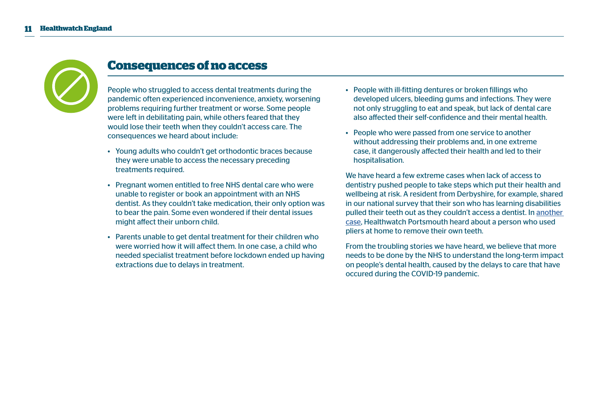

## **Consequences of no access**

People who struggled to access dental treatments during the pandemic often experienced inconvenience, anxiety, worsening problems requiring further treatment or worse. Some people were left in debilitating pain, while others feared that they would lose their teeth when they couldn't access care. The consequences we heard about include:

- Young adults who couldn't get orthodontic braces because they were unable to access the necessary preceding treatments required.
- Pregnant women entitled to free NHS dental care who were unable to register or book an appointment with an NHS dentist. As they couldn't take medication, their only option was to bear the pain. Some even wondered if their dental issues might affect their unborn child.
- Parents unable to get dental treatment for their children who were worried how it will affect them. In one case, a child who needed specialist treatment before lockdown ended up having extractions due to delays in treatment.
- People with ill-fitting dentures or broken fillings who developed ulcers, bleeding gums and infections. They were not only struggling to eat and speak, but lack of dental care also affected their self-confidence and their mental health.
- People who were passed from one service to another without addressing their problems and, in one extreme case, it dangerously affected their health and led to their hospitalisation.

We have heard a few extreme cases when lack of access to dentistry pushed people to take steps which put their health and wellbeing at risk. A resident from Derbyshire, for example, shared in our national survey that their son who has learning disabilities pulled their teeth out as they couldn't access a dentist. In [another](https://www.portsmouth.co.uk/health/portsmouth-labourer-agony-rips-out-two-teeth-he-cant-find-nhs-dentist-who-can-help-3002019)  [case,](https://www.portsmouth.co.uk/health/portsmouth-labourer-agony-rips-out-two-teeth-he-cant-find-nhs-dentist-who-can-help-3002019) Healthwatch Portsmouth heard about a person who used pliers at home to remove their own teeth.

From the troubling stories we have heard, we believe that more needs to be done by the NHS to understand the long-term impact on people's dental health, caused by the delays to care that have occured during the COVID-19 pandemic.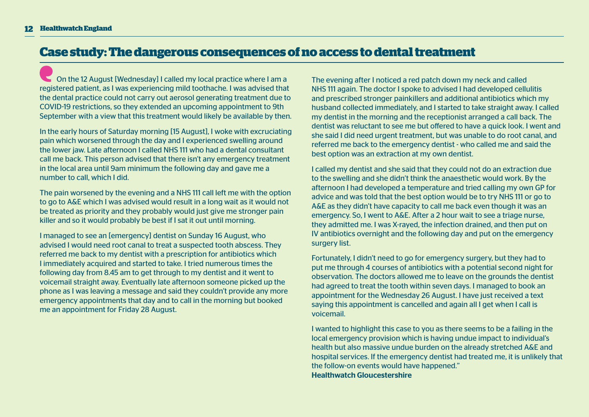### **Case study: The dangerous consequences of no access to dental treatment**

On the 12 August [Wednesday] I called my local practice where I am a registered patient, as I was experiencing mild toothache. I was advised that the dental practice could not carry out aerosol generating treatment due to COVID-19 restrictions, so they extended an upcoming appointment to 9th September with a view that this treatment would likely be available by then.

In the early hours of Saturday morning [15 August], I woke with excruciating pain which worsened through the day and I experienced swelling around the lower jaw. Late afternoon I called NHS 111 who had a dental consultant call me back. This person advised that there isn't any emergency treatment in the local area until 9am minimum the following day and gave me a number to call, which I did.

The pain worsened by the evening and a NHS 111 call left me with the option to go to A&E which I was advised would result in a long wait as it would not be treated as priority and they probably would just give me stronger pain killer and so it would probably be best if I sat it out until morning.

I managed to see an [emergency] dentist on Sunday 16 August, who advised I would need root canal to treat a suspected tooth abscess. They referred me back to my dentist with a prescription for antibiotics which I immediately acquired and started to take. I tried numerous times the following day from 8.45 am to get through to my dentist and it went to voicemail straight away. Eventually late afternoon someone picked up the phone as I was leaving a message and said they couldn't provide any more emergency appointments that day and to call in the morning but booked me an appointment for Friday 28 August.

The evening after I noticed a red patch down my neck and called NHS 111 again. The doctor I spoke to advised I had developed cellulitis and prescribed stronger painkillers and additional antibiotics which my husband collected immediately, and I started to take straight away. I called my dentist in the morning and the receptionist arranged a call back. The dentist was reluctant to see me but offered to have a quick look. I went and she said I did need urgent treatment, but was unable to do root canal, and referred me back to the emergency dentist - who called me and said the best option was an extraction at my own dentist.

I called my dentist and she said that they could not do an extraction due to the swelling and she didn't think the anaesthetic would work. By the afternoon I had developed a temperature and tried calling my own GP for advice and was told that the best option would be to try NHS 111 or go to A&E as they didn't have capacity to call me back even though it was an emergency. So, I went to A&E. After a 2 hour wait to see a triage nurse, they admitted me. I was X-rayed, the infection drained, and then put on IV antibiotics overnight and the following day and put on the emergency surgery list.

Fortunately, I didn't need to go for emergency surgery, but they had to put me through 4 courses of antibiotics with a potential second night for observation. The doctors allowed me to leave on the grounds the dentist had agreed to treat the tooth within seven days. I managed to book an appointment for the Wednesday 26 August. I have just received a text saying this appointment is cancelled and again all I get when I call is voicemail.

I wanted to highlight this case to you as there seems to be a failing in the local emergency provision which is having undue impact to individual's health but also massive undue burden on the already stretched A&E and hospital services. If the emergency dentist had treated me, it is unlikely that the follow-on events would have happened." Healthwatch Gloucestershire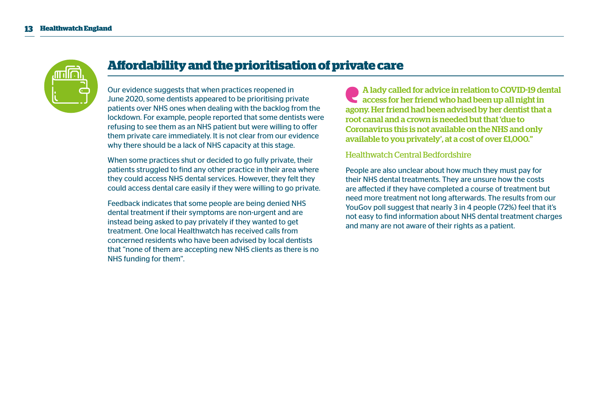

## **Affordability and the prioritisation of private care**

Our evidence suggests that when practices reopened in June 2020, some dentists appeared to be prioritising private patients over NHS ones when dealing with the backlog from the lockdown. For example, people reported that some dentists were refusing to see them as an NHS patient but were willing to offer them private care immediately. It is not clear from our evidence why there should be a lack of NHS capacity at this stage.

When some practices shut or decided to go fully private, their patients struggled to find any other practice in their area where they could access NHS dental services. However, they felt they could access dental care easily if they were willing to go private.

Feedback indicates that some people are being denied NHS dental treatment if their symptoms are non-urgent and are instead being asked to pay privately if they wanted to get treatment. One local Healthwatch has received calls from concerned residents who have been advised by local dentists that "none of them are accepting new NHS clients as there is no NHS funding for them".

A lady called for advice in relation to COVID-19 dental access for her friend who had been up all night in agony. Her friend had been advised by her dentist that a root canal and a crown is needed but that 'due to Coronavirus this is not available on the NHS and only available to you privately', at a cost of over £1,000."

#### Healthwatch Central Bedfordshire

People are also unclear about how much they must pay for their NHS dental treatments. They are unsure how the costs are affected if they have completed a course of treatment but need more treatment not long afterwards. The results from our YouGov poll suggest that nearly 3 in 4 people (72%) feel that it's not easy to find information about NHS dental treatment charges and many are not aware of their rights as a patient.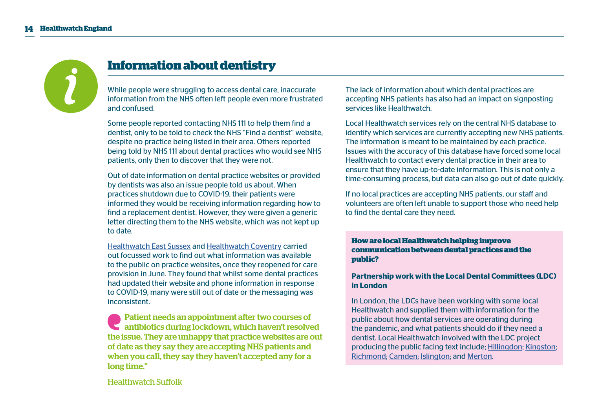

## **Information about dentistry**

While people were struggling to access dental care, inaccurate information from the NHS often left people even more frustrated and confused.

Some people reported contacting NHS 111 to help them find a dentist, only to be told to check the NHS "Find a dentist" website, despite no practice being listed in their area. Others reported being told by NHS 111 about dental practices who would see NHS patients, only then to discover that they were not.

Out of date information on dental practice websites or provided by dentists was also an issue people told us about. When practices shutdown due to COVID-19, their patients were informed they would be receiving information regarding how to find a replacement dentist. However, they were given a generic letter directing them to the NHS website, which was not kept up to date.

[Healthwatch East Sussex](https://www.healthwatch.co.uk/reports-library/covid-19-lockdown-information-and-access-dental-care) and [Healthwatch Coventry](https://www.healthwatch.co.uk/reports-library/restart-dentist-services-coventry-%E2%80%93-access-emergency-and-routine-treatment) carried out focussed work to find out what information was available to the public on practice websites, once they reopened for care provision in June. They found that whilst some dental practices had updated their website and phone information in response to COVID-19, many were still out of date or the messaging was inconsistent.

Patient needs an appointment after two courses of antibiotics during lockdown, which haven't resolved the issue. They are unhappy that practice websites are out of date as they say they are accepting NHS patients and when you call, they say they haven't accepted any for a long time."

The lack of information about which dental practices are accepting NHS patients has also had an impact on signposting services like Healthwatch.

Local Healthwatch services rely on the central NHS database to identify which services are currently accepting new NHS patients. The information is meant to be maintained by each practice. Issues with the accuracy of this database have forced some local Healthwatch to contact every dental practice in their area to ensure that they have up-to-date information. This is not only a time-consuming process, but data can also go out of date quickly.

If no local practices are accepting NHS patients, our staff and volunteers are often left unable to support those who need help to find the dental care they need.

#### **How are local Healthwatch helping improve communication between dental practices and the public?**

#### **Partnership work with the Local Dental Committees (LDC) in London**

In London, the LDCs have been working with some local Healthwatch and supplied them with information for the public about how dental services are operating during the pandemic, and what patients should do if they need a dentist. Local Healthwatch involved with the LDC project producing the public facing text include; [Hillingdon](https://healthwatchhillingdon.org.uk/advice-and-information/2020-10-14/nhs-dental-services-update); [Kingston](https://www.healthwatchkingston.org.uk/news/2020-10-14/dental-services-update); [Richmond;](https://www.healthwatchrichmond.co.uk/advice-and-information/2020-04-27/coronavirus-and-your-dental-care) [Camden;](https://healthwatchcamden.co.uk/news/nhs-general-dental-services-are-operating-significantly-reduced-capacity) [Islington;](https://www.healthwatchislington.co.uk/news/2020-10-19/dental-services-camden-and-islington-are-prioritising-patients-highest-need) and [Merton](https://www.healthwatchmerton.co.uk/news/2020-11-03/nhs-general-dental-services).

Healthwatch Suffolk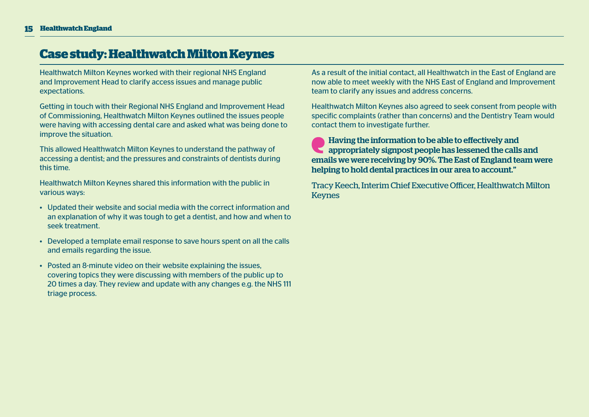### **Case study: Healthwatch Milton Keynes**

Healthwatch Milton Keynes worked with their regional NHS England and Improvement Head to clarify access issues and manage public expectations.

Getting in touch with their Regional NHS England and Improvement Head of Commissioning, Healthwatch Milton Keynes outlined the issues people were having with accessing dental care and asked what was being done to improve the situation.

This allowed Healthwatch Milton Keynes to understand the pathway of accessing a dentist; and the pressures and constraints of dentists during this time.

Healthwatch Milton Keynes shared this information with the public in various ways:

- Updated their website and social media with the correct information and an explanation of why it was tough to get a dentist, and how and when to seek treatment.
- Developed a template email response to save hours spent on all the calls and emails regarding the issue.
- Posted an 8-minute video on their website explaining the issues, covering topics they were discussing with members of the public up to 20 times a day. They review and update with any changes e.g. the NHS 111 triage process.

As a result of the initial contact, all Healthwatch in the East of England are now able to meet weekly with the NHS East of England and Improvement team to clarify any issues and address concerns.

Healthwatch Milton Keynes also agreed to seek consent from people with specific complaints (rather than concerns) and the Dentistry Team would contact them to investigate further.

Having the information to be able to effectively and appropriately signpost people has lessened the calls and emails we were receiving by 90%. The East of England team were helping to hold dental practices in our area to account."

Tracy Keech, Interim Chief Executive Officer, Healthwatch Milton Keynes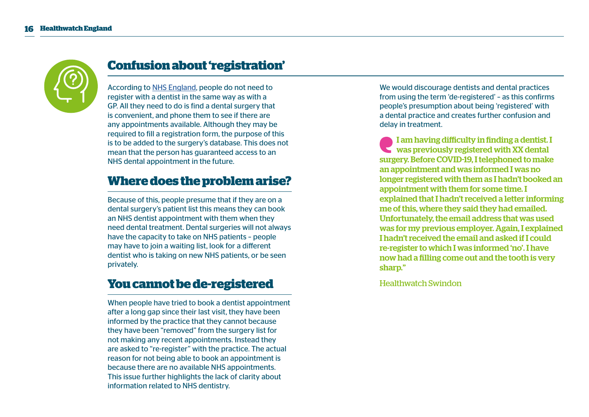

## **Confusion about 'registration'**

According to [NHS England](https://www.nhs.uk/using-the-nhs/nhs-services/dentists/how-to-find-an-nhs-dentist/), people do not need to register with a dentist in the same way as with a GP. All they need to do is find a dental surgery that is convenient, and phone them to see if there are any appointments available. Although they may be required to fill a registration form, the purpose of this is to be added to the surgery's database. This does not mean that the person has guaranteed access to an NHS dental appointment in the future.

## **Where does the problem arise?**

Because of this, people presume that if they are on a dental surgery's patient list this means they can book an NHS dentist appointment with them when they need dental treatment. Dental surgeries will not always have the capacity to take on NHS patients – people may have to join a waiting list, look for a different dentist who is taking on new NHS patients, or be seen privately.

## **You cannot be de-registered**

When people have tried to book a dentist appointment after a long gap since their last visit, they have been informed by the practice that they cannot because they have been "removed" from the surgery list for not making any recent appointments. Instead they are asked to "re-register" with the practice. The actual reason for not being able to book an appointment is because there are no available NHS appointments. This issue further highlights the lack of clarity about information related to NHS dentistry.

We would discourage dentists and dental practices from using the term 'de-registered' – as this confirms people's presumption about being 'registered' with a dental practice and creates further confusion and delay in treatment.

I am having difficulty in finding a dentist. I was previously registered with XX dental surgery. Before COVID-19, I telephoned to make an appointment and was informed I was no longer registered with them as I hadn't booked an appointment with them for some time. I explained that I hadn't received a letter informing me of this, where they said they had emailed. Unfortunately, the email address that was used was for my previous employer. Again, I explained I hadn't received the email and asked if I could re-register to which I was informed 'no'. I have now had a filling come out and the tooth is very sharp."

Healthwatch Swindon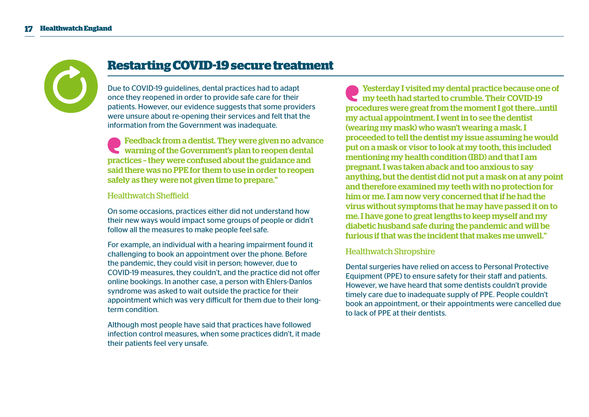

## **Restarting COVID-19 secure treatment**

Due to COVID-19 guidelines, dental practices had to adapt once they reopened in order to provide safe care for their patients. However, our evidence suggests that some providers were unsure about re-opening their services and felt that the information from the Government was inadequate.

Feedback from a dentist. They were given no advance warning of the Government's plan to reopen dental practices – they were confused about the guidance and said there was no PPE for them to use in order to reopen safely as they were not given time to prepare."

#### Healthwatch Sheffield

On some occasions, practices either did not understand how their new ways would impact some groups of people or didn't follow all the measures to make people feel safe.

For example, an individual with a hearing impairment found it challenging to book an appointment over the phone. Before the pandemic, they could visit in person; however, due to COVID-19 measures, they couldn't, and the practice did not offer online bookings. In another case, a person with Ehlers-Danlos syndrome was asked to wait outside the practice for their appointment which was very difficult for them due to their longterm condition.

Although most people have said that practices have followed infection control measures, when some practices didn't, it made their patients feel very unsafe.

Yesterday I visited my dental practice because one of my teeth had started to crumble. Their COVID-19 procedures were great from the moment I got there...until my actual appointment. I went in to see the dentist (wearing my mask) who wasn't wearing a mask. I proceeded to tell the dentist my issue assuming he would put on a mask or visor to look at my tooth, this included mentioning my health condition (IBD) and that I am pregnant. I was taken aback and too anxious to say anything, but the dentist did not put a mask on at any point and therefore examined my teeth with no protection for him or me. I am now very concerned that if he had the virus without symptoms that he may have passed it on to me. I have gone to great lengths to keep myself and my diabetic husband safe during the pandemic and will be furious if that was the incident that makes me unwell."

#### Healthwatch Shropshire

Dental surgeries have relied on access to Personal Protective Equipment (PPE) to ensure safety for their staff and patients. However, we have heard that some dentists couldn't provide timely care due to inadequate supply of PPE. People couldn't book an appointment, or their appointments were cancelled due to lack of PPE at their dentists.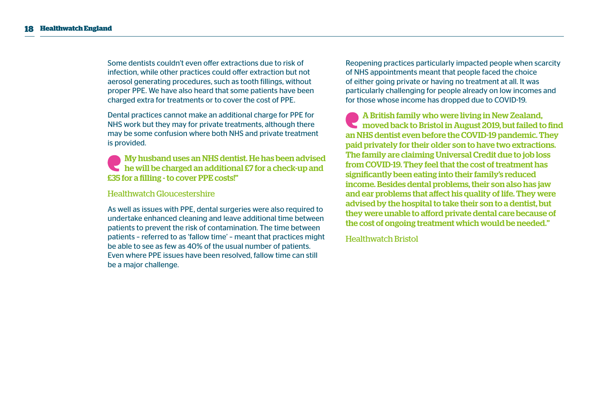Some dentists couldn't even offer extractions due to risk of infection, while other practices could offer extraction but not aerosol generating procedures, such as tooth fillings, without proper PPE. We have also heard that some patients have been charged extra for treatments or to cover the cost of PPE.

Dental practices cannot make an additional charge for PPE for NHS work but they may for private treatments, although there may be some confusion where both NHS and private treatment is provided.

My husband uses an NHS dentist. He has been advised he will be charged an additional £7 for a check-up and £35 for a filling - to cover PPE costs!"

#### Healthwatch Gloucestershire

As well as issues with PPE, dental surgeries were also required to undertake enhanced cleaning and leave additional time between patients to prevent the risk of contamination. The time between patients – referred to as 'fallow time' – meant that practices might be able to see as few as 40% of the usual number of patients. Even where PPE issues have been resolved, fallow time can still be a major challenge.

Reopening practices particularly impacted people when scarcity of NHS appointments meant that people faced the choice of either going private or having no treatment at all. It was particularly challenging for people already on low incomes and for those whose income has dropped due to COVID-19.

A British family who were living in New Zealand, moved back to Bristol in August 2019, but failed to find an NHS dentist even before the COVID-19 pandemic. They paid privately for their older son to have two extractions. The family are claiming Universal Credit due to job loss from COVID-19. They feel that the cost of treatment has significantly been eating into their family's reduced income. Besides dental problems, their son also has jaw and ear problems that affect his quality of life. They were advised by the hospital to take their son to a dentist, but they were unable to afford private dental care because of the cost of ongoing treatment which would be needed."

Healthwatch Bristol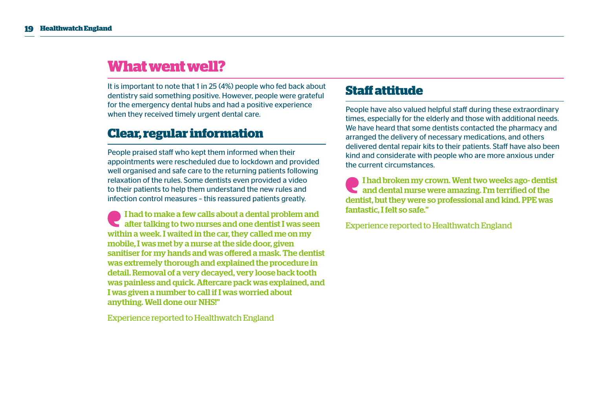## **What went well?**

It is important to note that 1 in 25 (4%) people who fed back about dentistry said something positive. However, people were grateful for the emergency dental hubs and had a positive experience when they received timely urgent dental care.

## **Clear, regular information**

People praised staff who kept them informed when their appointments were rescheduled due to lockdown and provided well organised and safe care to the returning patients following relaxation of the rules. Some dentists even provided a video to their patients to help them understand the new rules and infection control measures – this reassured patients greatly.

I had to make a few calls about a dental problem and after talking to two nurses and one dentist I was seen within a week. I waited in the car, they called me on my mobile, I was met by a nurse at the side door, given sanitiser for my hands and was offered a mask. The dentist was extremely thorough and explained the procedure in detail. Removal of a very decayed, very loose back tooth was painless and quick. Aftercare pack was explained, and I was given a number to call if I was worried about anything. Well done our NHS!"

Experience reported to Healthwatch England

## **Staff attitude**

People have also valued helpful staff during these extraordinary times, especially for the elderly and those with additional needs. We have heard that some dentists contacted the pharmacy and arranged the delivery of necessary medications, and others delivered dental repair kits to their patients. Staff have also been kind and considerate with people who are more anxious under the current circumstances.

I had broken my crown. Went two weeks ago- dentist and dental nurse were amazing. I'm terrified of the dentist, but they were so professional and kind. PPE was fantastic, I felt so safe."

Experience reported to Healthwatch England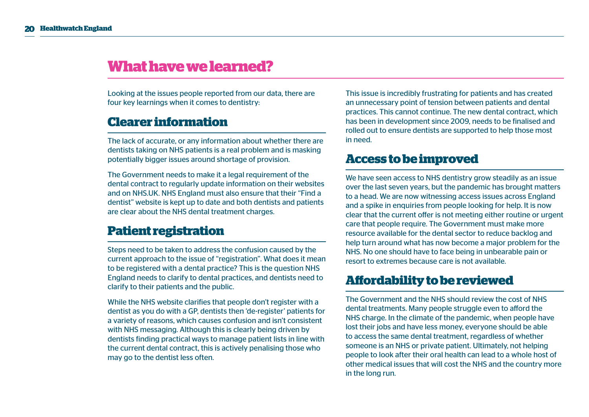## **What have we learned?**

Looking at the issues people reported from our data, there are four key learnings when it comes to dentistry:

## **Clearer information**

The lack of accurate, or any information about whether there are dentists taking on NHS patients is a real problem and is masking potentially bigger issues around shortage of provision.

The Government needs to make it a legal requirement of the dental contract to regularly update information on their websites and on NHS.UK. NHS England must also ensure that their "Find a dentist" website is kept up to date and both dentists and patients are clear about the NHS dental treatment charges.

## **Patient registration**

Steps need to be taken to address the confusion caused by the current approach to the issue of "registration". What does it mean to be registered with a dental practice? This is the question NHS England needs to clarify to dental practices, and dentists need to clarify to their patients and the public.

While the NHS website clarifies that people don't register with a dentist as you do with a GP, dentists then 'de-register' patients for a variety of reasons, which causes confusion and isn't consistent with NHS messaging. Although this is clearly being driven by dentists finding practical ways to manage patient lists in line with the current dental contract, this is actively penalising those who may go to the dentist less often.

This issue is incredibly frustrating for patients and has created an unnecessary point of tension between patients and dental practices. This cannot continue. The new dental contract, which has been in development since 2009, needs to be finalised and rolled out to ensure dentists are supported to help those most in need.

### **Access to be improved**

We have seen access to NHS dentistry grow steadily as an issue over the last seven years, but the pandemic has brought matters to a head. We are now witnessing access issues across England and a spike in enquiries from people looking for help. It is now clear that the current offer is not meeting either routine or urgent care that people require. The Government must make more resource available for the dental sector to reduce backlog and help turn around what has now become a major problem for the NHS. No one should have to face being in unbearable pain or resort to extremes because care is not available.

### **Affordability to be reviewed**

The Government and the NHS should review the cost of NHS dental treatments. Many people struggle even to afford the NHS charge. In the climate of the pandemic, when people have lost their jobs and have less money, everyone should be able to access the same dental treatment, regardless of whether someone is an NHS or private patient. Ultimately, not helping people to look after their oral health can lead to a whole host of other medical issues that will cost the NHS and the country more in the long run.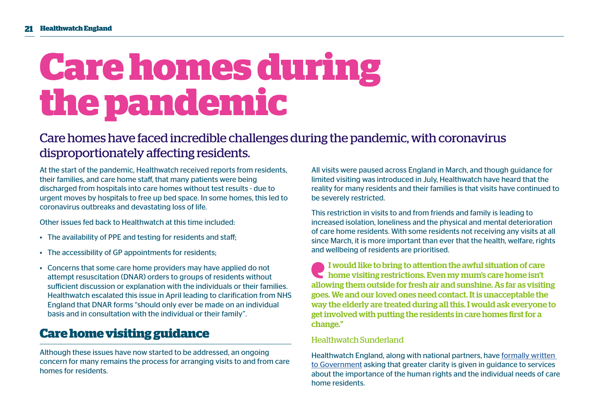## **Care homes during thepandemic**

## Care homes have faced incredible challenges during the pandemic, with coronavirus disproportionately affecting residents.

At the start of the pandemic, Healthwatch received reports from residents, their families, and care home staff, that many patients were being discharged from hospitals into care homes without test results - due to urgent moves by hospitals to free up bed space. In some homes, this led to coronavirus outbreaks and devastating loss of life.

Other issues fed back to Healthwatch at this time included:

- The availability of PPE and testing for residents and staff;
- The accessibility of GP appointments for residents;
- Concerns that some care home providers may have applied do not attempt resuscitation (DNAR) orders to groups of residents without sufficient discussion or explanation with the individuals or their families. Healthwatch escalated this issue in April leading to clarification from NHS England that DNAR forms "should only ever be made on an individual basis and in consultation with the individual or their family".

## **Care home visiting guidance**

Although these issues have now started to be addressed, an ongoing concern for many remains the process for arranging visits to and from care homes for residents.

All visits were paused across England in March, and though guidance for limited visiting was introduced in July, Healthwatch have heard that the reality for many residents and their families is that visits have continued to be severely restricted.

This restriction in visits to and from friends and family is leading to increased isolation, loneliness and the physical and mental deterioration of care home residents. With some residents not receiving any visits at all since March, it is more important than ever that the health, welfare, rights and wellbeing of residents are prioritised.

I would like to bring to attention the awful situation of care home visiting restrictions. Even my mum's care home isn't allowing them outside for fresh air and sunshine. As far as visiting goes. We and our loved ones need contact. It is unacceptable the way the elderly are treated during all this. I would ask everyone to get involved with putting the residents in care homes first for a change."

#### Healthwatch Sunderland

Healthwatch England, along with national partners, have [formally written](https://www.healthwatch.co.uk/response/2020-10-30/call-better-guidance-care-home-visits-read-our-letter-government)  [to Government](https://www.healthwatch.co.uk/response/2020-10-30/call-better-guidance-care-home-visits-read-our-letter-government) asking that greater clarity is given in guidance to services about the importance of the human rights and the individual needs of care home residents.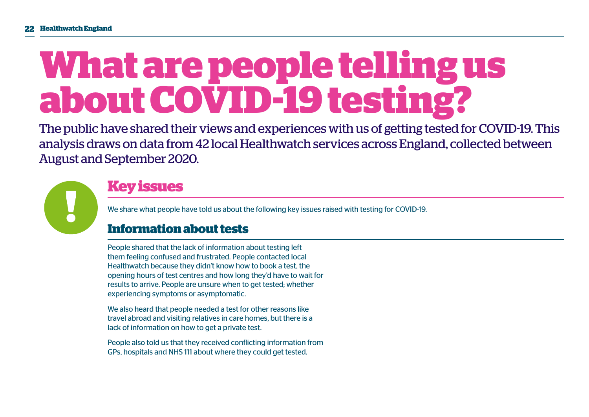## **What are people telling us about COVID-19 testing?**

The public have shared their views and experiences with us of getting tested for COVID-19. This analysis draws on data from 42 local Healthwatch services across England, collected between August and September 2020.



## **Key issues**

We share what people have told us about the following key issues raised with testing for COVID-19.

## **Information about tests**

People shared that the lack of information about testing left them feeling confused and frustrated. People contacted local Healthwatch because they didn't know how to book a test, the opening hours of test centres and how long they'd have to wait for results to arrive. People are unsure when to get tested; whether experiencing symptoms or asymptomatic.

We also heard that people needed a test for other reasons like travel abroad and visiting relatives in care homes, but there is a lack of information on how to get a private test.

People also told us that they received conflicting information from GPs, hospitals and NHS 111 about where they could get tested.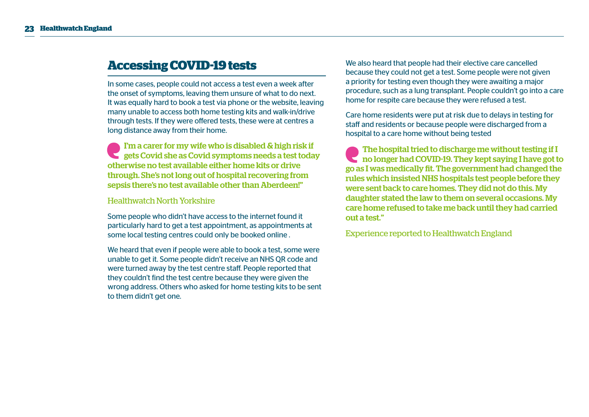## **Accessing COVID-19 tests**

In some cases, people could not access a test even a week after the onset of symptoms, leaving them unsure of what to do next. It was equally hard to book a test via phone or the website, leaving many unable to access both home testing kits and walk-in/drive through tests. If they were offered tests, these were at centres a long distance away from their home.

I'm a carer for my wife who is disabled & high risk if gets Covid she as Covid symptoms needs a test today otherwise no test available either home kits or drive through. She's not long out of hospital recovering from sepsis there's no test available other than Aberdeen!"

#### Healthwatch North Yorkshire

Some people who didn't have access to the internet found it particularly hard to get a test appointment, as appointments at some local testing centres could only be booked online .

We heard that even if people were able to book a test, some were unable to get it. Some people didn't receive an NHS QR code and were turned away by the test centre staff. People reported that they couldn't find the test centre because they were given the wrong address. Others who asked for home testing kits to be sent to them didn't get one.

We also heard that people had their elective care cancelled because they could not get a test. Some people were not given a priority for testing even though they were awaiting a major procedure, such as a lung transplant. People couldn't go into a care home for respite care because they were refused a test.

Care home residents were put at risk due to delays in testing for staff and residents or because people were discharged from a hospital to a care home without being tested

The hospital tried to discharge me without testing if I no longer had COVID-19. They kept saying I have got to go as I was medically fit. The government had changed the rules which insisted NHS hospitals test people before they were sent back to care homes. They did not do this. My daughter stated the law to them on several occasions. My care home refused to take me back until they had carried out a test."

Experience reported to Healthwatch England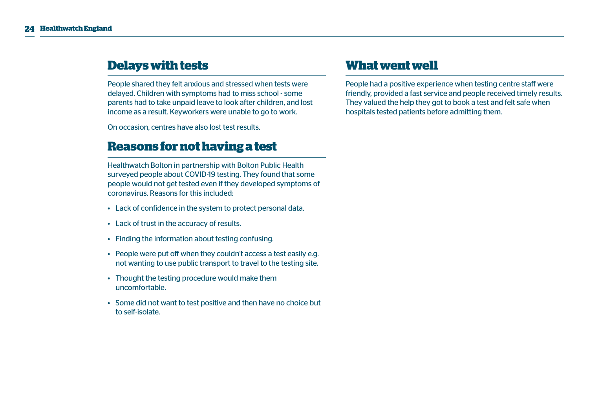## **Delays with tests**

People shared they felt anxious and stressed when tests were delayed. Children with symptoms had to miss school - some parents had to take unpaid leave to look after children, and lost income as a result. Keyworkers were unable to go to work.

On occasion, centres have also lost test results.

### **Reasons for not having a test**

Healthwatch Bolton in partnership with Bolton Public Health surveyed people about COVID-19 testing. They found that some people would not get tested even if they developed symptoms of coronavirus. Reasons for this included:

- Lack of confidence in the system to protect personal data.
- Lack of trust in the accuracy of results.
- Finding the information about testing confusing.
- People were put off when they couldn't access a test easily e.g. not wanting to use public transport to travel to the testing site.
- Thought the testing procedure would make them uncomfortable.
- Some did not want to test positive and then have no choice but to self-isolate.

### **What went well**

People had a positive experience when testing centre staff were friendly, provided a fast service and people received timely results. They valued the help they got to book a test and felt safe when hospitals tested patients before admitting them.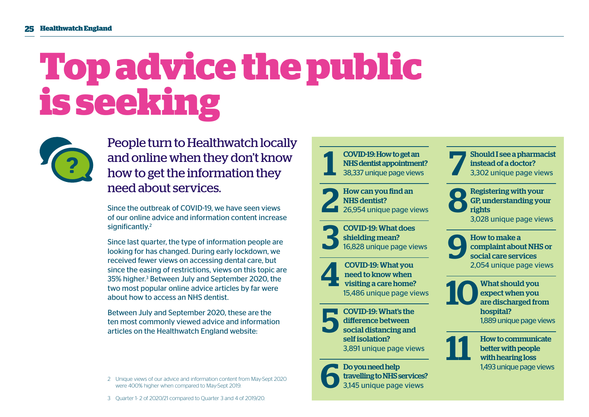## **Top advice the public is seeking**



People turn to Healthwatch locally and online when they don't know how to get the information they need about services.

Since the outbreak of COVID-19, we have seen views of our online advice and information content increase significantly.<sup>2</sup>

Since last quarter, the type of information people are looking for has changed. During early lockdown, we received fewer views on accessing dental care, but since the easing of restrictions, views on this topic are 35% higher.<sup>3</sup> Between July and September 2020, the two most popular online advice articles by far were about how to access an NHS dentist.

Between July and September 2020, these are the ten most commonly viewed advice and information articles on the Healthwatch England website:

2 Unique views of our advice and information content from May-Sept 2020 were 400% higher when compared to May-Sept 2019.



COVID-19: What you<br>
meed to know when<br>
visiting a care home?<br>
15,486 unique page vi need to know when 15,486 unique page views

**EXECOVID-19: What's the difference between**<br>
social distancing and<br>
soliticalities difference between self isolation? 3,891 unique page views

Do you need help<br>travelling to NHSs<br>3,145 unique page travelling to NHS services? 3,145 unique page views

 7 Should I see a pharmacist instead of a doctor? 3,302 unique page views

 8 Registering with your GP, understanding your rights 3,028 unique page views

 $\bigodot$  How to make a<br>complaint abousocial care served complaint about NHS or social care services 2,054 unique page views

**10** What should you<br>are discharged from expect when you are discharged from hospital? 1,889 unique page views



**How to communicate** better with people with hearing loss 1,493 unique page views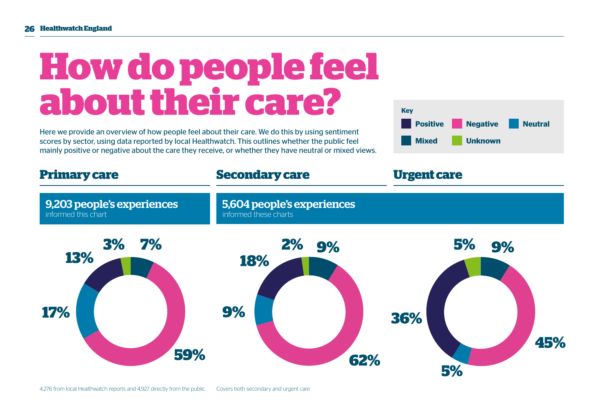## **How do people feel about their care?**

Here we provide an overview of how people feel about their care. We do this by using sentiment scores by sector, using data reported by local Healthwatch. This outlines whether the public feel mainly positive or negative about the care they receive, or whether they have neutral or mixed views.



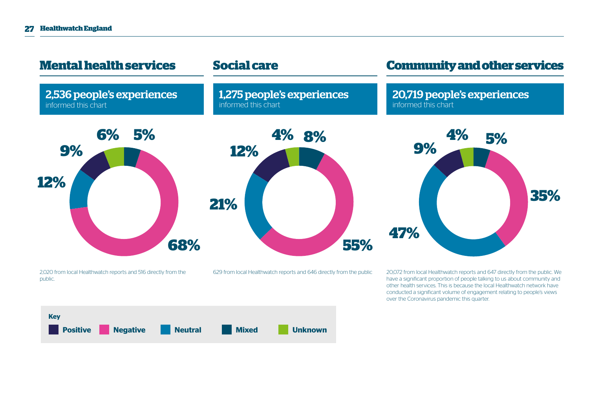

have a significant proportion of people talking to us about community and other health services. This is because the local Healthwatch network have conducted a significant volume of engagement relating to people's views over the Coronavirus pandemic this quarter.